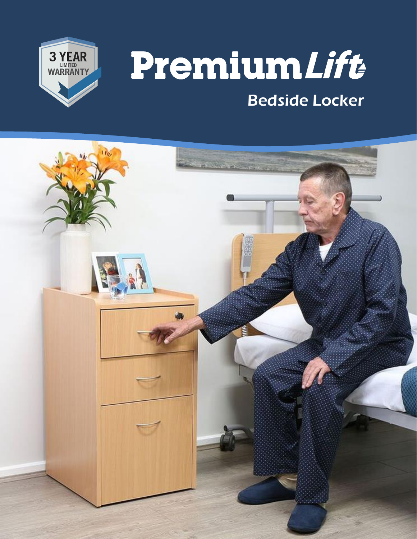

# PremiumLift Bedside Locker

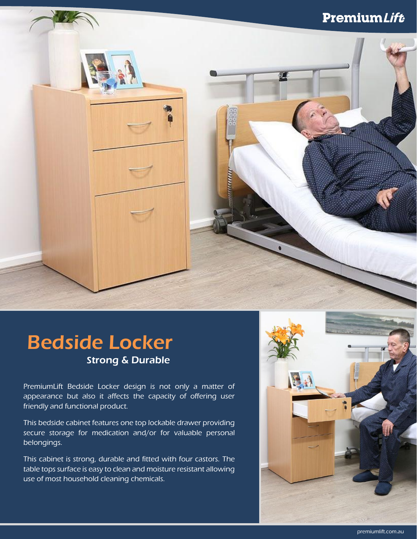#### **PremiumLift**

## Bedside Locker Strong & Durable

PremiumLift Bedside Locker design is not only a matter of appearance but also it affects the capacity of offering user friendly and functional product.

This bedside cabinet features one top lockable drawer providing secure storage for medication and/or for valuable personal belongings.

This cabinet is strong, durable and fitted with four castors. The table tops surface is easy to clean and moisture resistant allowing use of most household cleaning chemicals.

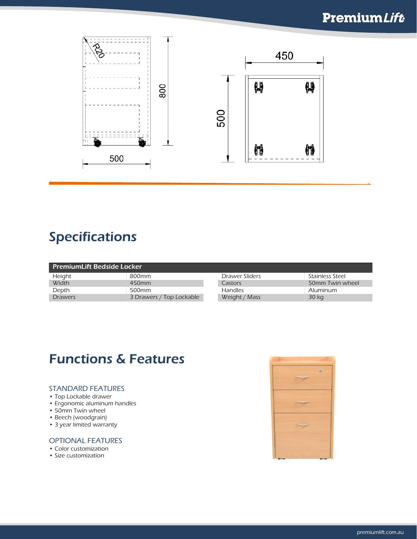#### **PremiumLift**



### Specifications

| <b>PremiumLift Bedside Locker</b> |                          |                |                 |
|-----------------------------------|--------------------------|----------------|-----------------|
| Height                            | 800 <sub>mm</sub>        | Drawer Sliders | Stainless Steel |
| Width                             | 450 <sub>mm</sub>        | Castors        | 50mm Twin wheel |
| Depth                             | 500 <sub>mm</sub>        | <b>Handles</b> | Aluminum        |
| <b>Drawers</b>                    | 3 Drawers / Top Lockable | Weight / Mass  | 30 kg           |

#### Functions & Features

#### STANDARD FEATURES

- Top Lockable drawer
- Ergonomic aluminum handles
- 50mm Twin wheel
- Beech (woodgrain)
- 3 year limited warranty

#### OPTIONAL FEATURES

- Color customization
- Size customization